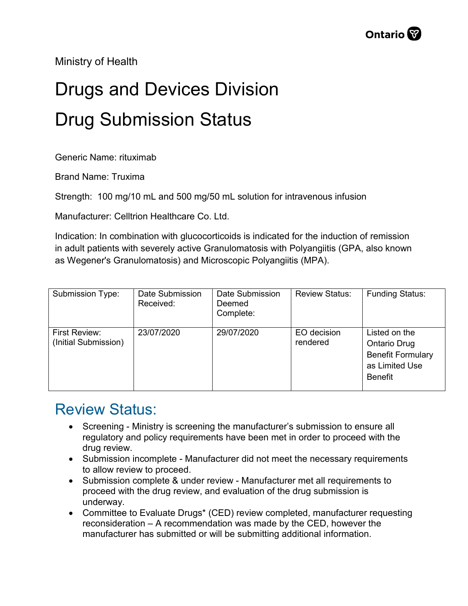Ministry of Health

## Drugs and Devices Division Drug Submission Status

Generic Name: rituximab

Brand Name: Truxima

Strength: 100 mg/10 mL and 500 mg/50 mL solution for intravenous infusion

Manufacturer: Celltrion Healthcare Co. Ltd.

Indication: In combination with glucocorticoids is indicated for the induction of remission in adult patients with severely active Granulomatosis with Polyangiitis (GPA, also known as Wegener's Granulomatosis) and Microscopic Polyangiitis (MPA).

| Submission Type:                      | Date Submission<br>Received: | Date Submission<br>Deemed<br>Complete: | <b>Review Status:</b>   | <b>Funding Status:</b>                                                                               |
|---------------------------------------|------------------------------|----------------------------------------|-------------------------|------------------------------------------------------------------------------------------------------|
| First Review:<br>(Initial Submission) | 23/07/2020                   | 29/07/2020                             | EO decision<br>rendered | Listed on the<br><b>Ontario Drug</b><br><b>Benefit Formulary</b><br>as Limited Use<br><b>Benefit</b> |

## Review Status:

- Screening Ministry is screening the manufacturer's submission to ensure all regulatory and policy requirements have been met in order to proceed with the drug review.
- Submission incomplete Manufacturer did not meet the necessary requirements to allow review to proceed.
- Submission complete & under review Manufacturer met all requirements to proceed with the drug review, and evaluation of the drug submission is underway.
- Committee to Evaluate Drugs\* (CED) review completed, manufacturer requesting reconsideration – A recommendation was made by the CED, however the manufacturer has submitted or will be submitting additional information.